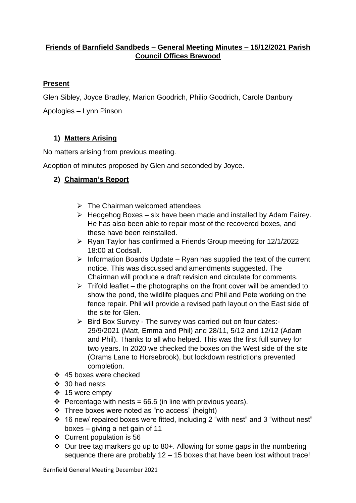### **Friends of Barnfield Sandbeds – General Meeting Minutes – 15/12/2021 Parish Council Offices Brewood**

### **Present**

Glen Sibley, Joyce Bradley, Marion Goodrich, Philip Goodrich, Carole Danbury

Apologies – Lynn Pinson

# **1) Matters Arising**

No matters arising from previous meeting.

Adoption of minutes proposed by Glen and seconded by Joyce.

# **2) Chairman's Report**

- $\triangleright$  The Chairman welcomed attendees
- $\triangleright$  Hedgehog Boxes six have been made and installed by Adam Fairey. He has also been able to repair most of the recovered boxes, and these have been reinstalled.
- ➢ Ryan Taylor has confirmed a Friends Group meeting for 12/1/2022 18:00 at Codsall.
- $\triangleright$  Information Boards Update Ryan has supplied the text of the current notice. This was discussed and amendments suggested. The Chairman will produce a draft revision and circulate for comments.
- $\triangleright$  Trifold leaflet the photographs on the front cover will be amended to show the pond, the wildlife plaques and Phil and Pete working on the fence repair. Phil will provide a revised path layout on the East side of the site for Glen.
- ➢ Bird Box Survey The survey was carried out on four dates:- 29/9/2021 (Matt, Emma and Phil) and 28/11, 5/12 and 12/12 (Adam and Phil). Thanks to all who helped. This was the first full survey for two years. In 2020 we checked the boxes on the West side of the site (Orams Lane to Horsebrook), but lockdown restrictions prevented completion.
- ❖ 45 boxes were checked
- ❖ 30 had nests
- ❖ 15 were empty
- ❖ Percentage with nests = 66.6 (in line with previous years).
- ❖ Three boxes were noted as "no access" (height)
- ❖ 16 new/ repaired boxes were fitted, including 2 "with nest" and 3 "without nest" boxes – giving a net gain of 11
- ❖ Current population is 56
- ❖ Our tree tag markers go up to 80+. Allowing for some gaps in the numbering sequence there are probably 12 – 15 boxes that have been lost without trace!

Barnfield General Meeting December 2021